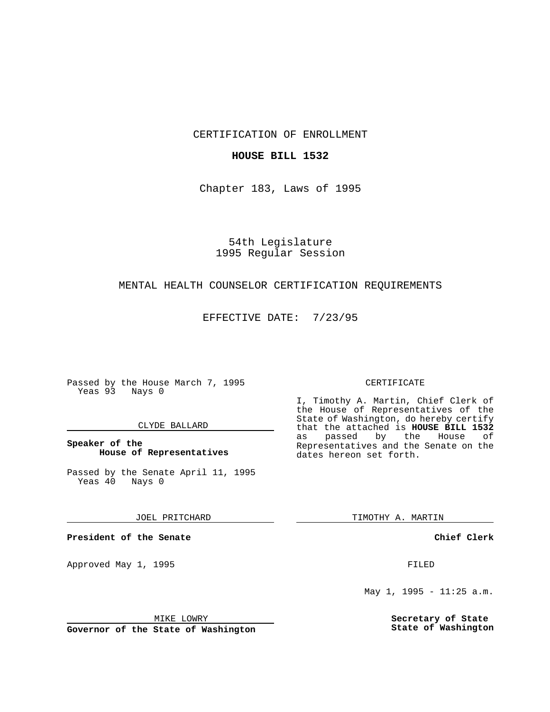CERTIFICATION OF ENROLLMENT

# **HOUSE BILL 1532**

Chapter 183, Laws of 1995

54th Legislature 1995 Regular Session

### MENTAL HEALTH COUNSELOR CERTIFICATION REQUIREMENTS

EFFECTIVE DATE: 7/23/95

Passed by the House March 7, 1995 Yeas 93 Nays 0

# CLYDE BALLARD

# **Speaker of the House of Representatives**

Passed by the Senate April 11, 1995<br>Yeas 40 Nays 0 Yeas 40

JOEL PRITCHARD

**President of the Senate**

Approved May 1, 1995 **FILED** 

# MIKE LOWRY

**Governor of the State of Washington**

#### CERTIFICATE

I, Timothy A. Martin, Chief Clerk of the House of Representatives of the State of Washington, do hereby certify that the attached is **HOUSE BILL 1532** as passed by the Representatives and the Senate on the dates hereon set forth.

TIMOTHY A. MARTIN

**Chief Clerk**

May 1, 1995 - 11:25 a.m.

**Secretary of State State of Washington**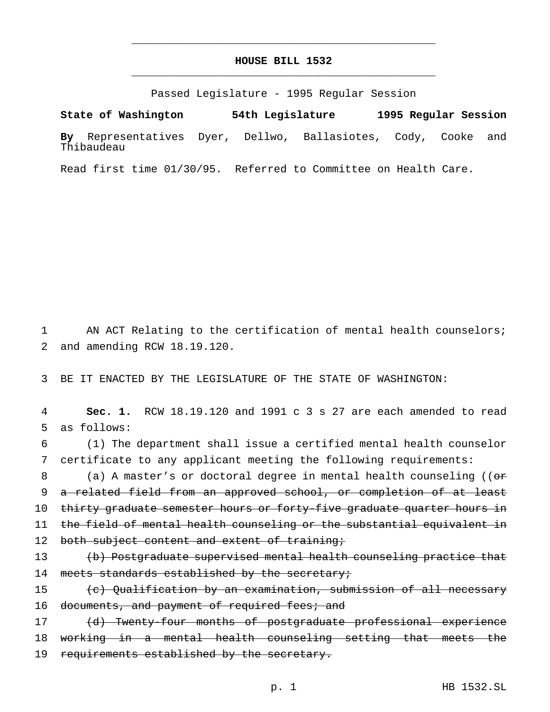# **HOUSE BILL 1532** \_\_\_\_\_\_\_\_\_\_\_\_\_\_\_\_\_\_\_\_\_\_\_\_\_\_\_\_\_\_\_\_\_\_\_\_\_\_\_\_\_\_\_\_\_\_\_

\_\_\_\_\_\_\_\_\_\_\_\_\_\_\_\_\_\_\_\_\_\_\_\_\_\_\_\_\_\_\_\_\_\_\_\_\_\_\_\_\_\_\_\_\_\_\_

Passed Legislature - 1995 Regular Session

**State of Washington 54th Legislature 1995 Regular Session By** Representatives Dyer, Dellwo, Ballasiotes, Cody, Cooke and Thibaudeau

Read first time 01/30/95. Referred to Committee on Health Care.

1 AN ACT Relating to the certification of mental health counselors; 2 and amending RCW 18.19.120.

3 BE IT ENACTED BY THE LEGISLATURE OF THE STATE OF WASHINGTON:

4 **Sec. 1.** RCW 18.19.120 and 1991 c 3 s 27 are each amended to read 5 as follows:

6 (1) The department shall issue a certified mental health counselor 7 certificate to any applicant meeting the following requirements:

8 (a) A master's or doctoral degree in mental health counseling ((or 9 a related field from an approved school, or completion of at least 10 thirty graduate semester hours or forty-five graduate quarter hours in 11 the field of mental health counseling or the substantial equivalent in 12 both subject content and extent of training;

13 (b) Postgraduate supervised mental health counseling practice that 14 meets standards established by the secretary;

15 (c) Qualification by an examination, submission of all necessary 16 documents, and payment of required fees; and

17 (d) Twenty-four months of postgraduate professional experience 18 working in a mental health counseling setting that meets the 19 requirements established by the secretary.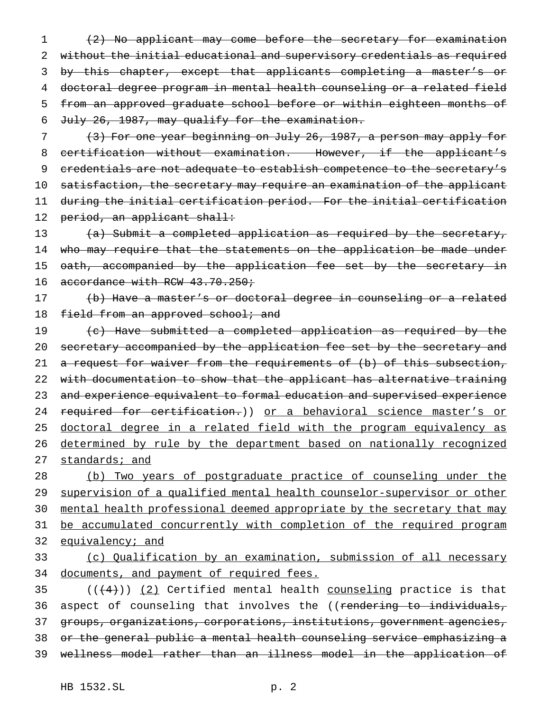(2) No applicant may come before the secretary for examination without the initial educational and supervisory credentials as required 3 by this chapter, except that applicants completing a master's or doctoral degree program in mental health counseling or a related field from an approved graduate school before or within eighteen months of July 26, 1987, may qualify for the examination.

 (3) For one year beginning on July 26, 1987, a person may apply for certification without examination. However, if the applicant's 9 credentials are not adequate to establish competence to the secretary's satisfaction, the secretary may require an examination of the applicant during the initial certification period. For the initial certification 12 period, an applicant shall:

13 (a) Submit a completed application as required by the secretary, 14 who may require that the statements on the application be made under 15 oath, accompanied by the application fee set by the secretary in 16 accordance with RCW 43.70.250;

17 (b) Have a master's or doctoral degree in counseling or a related 18 field from an approved school; and

19 (c) Have submitted a completed application as required by the 20 secretary accompanied by the application fee set by the secretary and 21 a request for waiver from the requirements of (b) of this subsection, 22 with documentation to show that the applicant has alternative training 23 and experience equivalent to formal education and supervised experience 24 required for certification.)) or a behavioral science master's or 25 doctoral degree in a related field with the program equivalency as 26 determined by rule by the department based on nationally recognized 27 standards; and

28 (b) Two years of postgraduate practice of counseling under the 29 supervision of a qualified mental health counselor-supervisor or other 30 mental health professional deemed appropriate by the secretary that may 31 be accumulated concurrently with completion of the required program 32 equivalency; and

33 (c) Qualification by an examination, submission of all necessary 34 documents, and payment of required fees.

 $((+4))$   $(2)$  Certified mental health counseling practice is that 36 aspect of counseling that involves the ((rendering to individuals, groups, organizations, corporations, institutions, government agencies, or the general public a mental health counseling service emphasizing a wellness model rather than an illness model in the application of